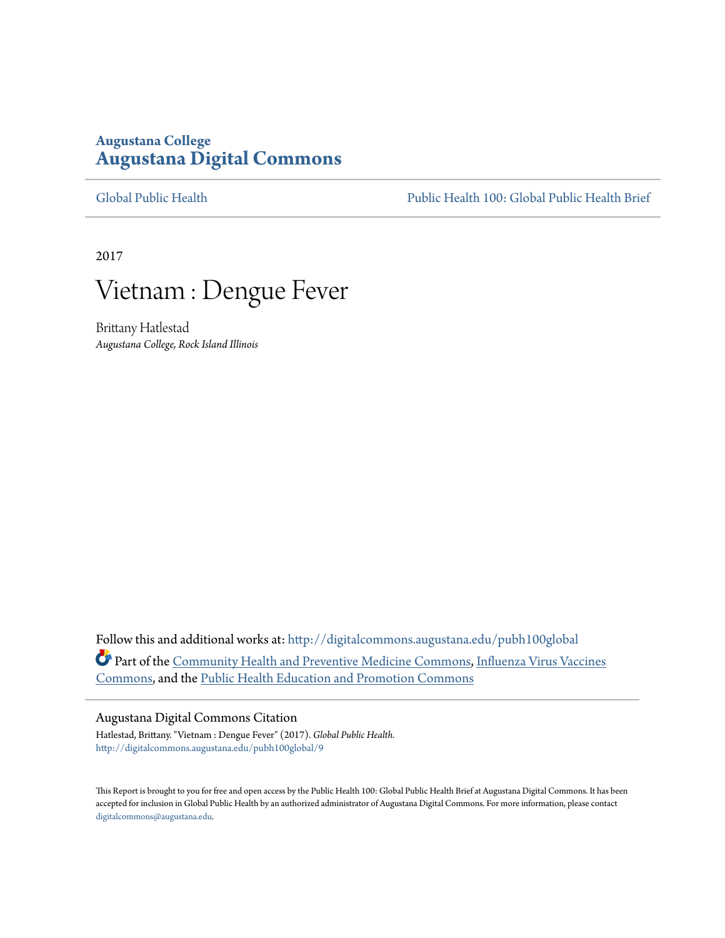### **Augustana College [Augustana Digital Commons](http://digitalcommons.augustana.edu?utm_source=digitalcommons.augustana.edu%2Fpubh100global%2F9&utm_medium=PDF&utm_campaign=PDFCoverPages)**

[Global Public Health](http://digitalcommons.augustana.edu/pubh100global?utm_source=digitalcommons.augustana.edu%2Fpubh100global%2F9&utm_medium=PDF&utm_campaign=PDFCoverPages) [Public Health 100: Global Public Health Brief](http://digitalcommons.augustana.edu/pubh100?utm_source=digitalcommons.augustana.edu%2Fpubh100global%2F9&utm_medium=PDF&utm_campaign=PDFCoverPages)

2017



Brittany Hatlestad *Augustana College, Rock Island Illinois*

Follow this and additional works at: [http://digitalcommons.augustana.edu/pubh100global](http://digitalcommons.augustana.edu/pubh100global?utm_source=digitalcommons.augustana.edu%2Fpubh100global%2F9&utm_medium=PDF&utm_campaign=PDFCoverPages) Part of the [Community Health and Preventive Medicine Commons,](http://network.bepress.com/hgg/discipline/744?utm_source=digitalcommons.augustana.edu%2Fpubh100global%2F9&utm_medium=PDF&utm_campaign=PDFCoverPages) [Influenza Virus Vaccines](http://network.bepress.com/hgg/discipline/1070?utm_source=digitalcommons.augustana.edu%2Fpubh100global%2F9&utm_medium=PDF&utm_campaign=PDFCoverPages) [Commons,](http://network.bepress.com/hgg/discipline/1070?utm_source=digitalcommons.augustana.edu%2Fpubh100global%2F9&utm_medium=PDF&utm_campaign=PDFCoverPages) and the [Public Health Education and Promotion Commons](http://network.bepress.com/hgg/discipline/743?utm_source=digitalcommons.augustana.edu%2Fpubh100global%2F9&utm_medium=PDF&utm_campaign=PDFCoverPages)

#### Augustana Digital Commons Citation

Hatlestad, Brittany. "Vietnam : Dengue Fever" (2017). *Global Public Health.* [http://digitalcommons.augustana.edu/pubh100global/9](http://digitalcommons.augustana.edu/pubh100global/9?utm_source=digitalcommons.augustana.edu%2Fpubh100global%2F9&utm_medium=PDF&utm_campaign=PDFCoverPages)

This Report is brought to you for free and open access by the Public Health 100: Global Public Health Brief at Augustana Digital Commons. It has been accepted for inclusion in Global Public Health by an authorized administrator of Augustana Digital Commons. For more information, please contact [digitalcommons@augustana.edu.](mailto:digitalcommons@augustana.edu)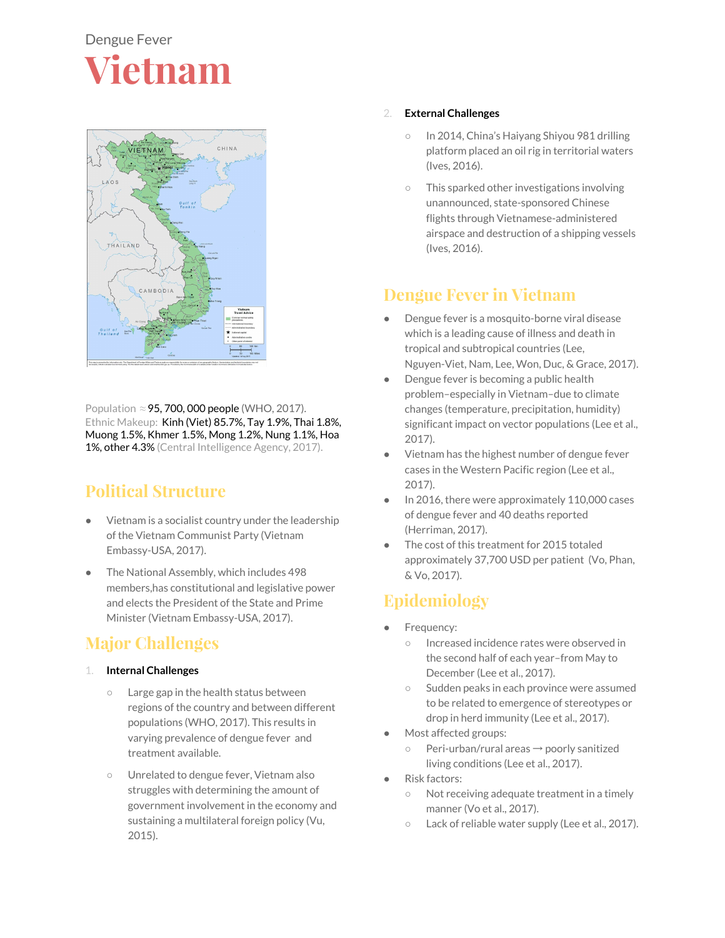

Population ≈ 95, 700, 000 people (WHO, 2017). Ethnic Makeup: Kinh (Viet) 85.7%, Tay 1.9%, Thai 1.8%, Muong 1.5%, Khmer 1.5%, Mong 1.2%, Nung 1.1%, Hoa 1%, other 4.3% (Central Intelligence Agency, 2017).

## **Political Structure**

- Vietnam is a socialist country under the leadership of the Vietnam Communist Party (Vietnam Embassy-USA, 2017).
- The National Assembly, which includes 498 members,has constitutional and legislative power and elects the President of the State and Prime Minister (Vietnam Embassy-USA, 2017).

# **Major Challenges**

- 1. **Internal Challenges**
	- Large gap in the health status between regions of the country and between different populations (WHO, 2017). This results in varying prevalence of dengue fever and treatment available.
	- Unrelated to dengue fever, Vietnam also struggles with determining the amount of government involvement in the economy and sustaining a multilateral foreign policy (Vu, 2015).

### 2. **External Challenges**

- In 2014, China's Haiyang Shiyou 981 drilling platform placed an oil rig in territorial waters (Ives, 2016).
- This sparked other investigations involving unannounced, state-sponsored Chinese flights through Vietnamese-administered airspace and destruction of a shipping vessels (Ives, 2016).

## **Dengue Fever in Vietnam**

- Dengue fever is a mosquito-borne viral disease which is a leading cause of illness and death in tropical and subtropical countries (Lee, Nguyen-Viet, Nam, Lee, Won, Duc, & Grace, 2017).
- Dengue fever is becoming a public health problem–especially in Vietnam–due to climate changes (temperature, precipitation, humidity) significant impact on vector populations (Lee et al., 2017).
- Vietnam has the highest number of dengue fever cases in the Western Pacific region (Lee et al., 2017).
- In 2016, there were approximately  $110,000$  cases of dengue fever and 40 deaths reported (Herriman, 2017).
- The cost of this treatment for 2015 totaled approximately 37,700 USD per patient (Vo, Phan, & Vo, 2017).

## **Epidemiology**

- Frequency:
	- Increased incidence rates were observed in the second half of each year–from May to December (Lee et al., 2017).
	- Sudden peaks in each province were assumed to be related to emergence of stereotypes or drop in herd immunity (Lee et al., 2017).
- Most affected groups:
	- Peri-urban/rural areas → poorly sanitized living conditions (Lee et al., 2017).
- Risk factors:
	- Not receiving adequate treatment in a timely manner (Vo et al., 2017).
	- Lack of reliable water supply (Lee et al., 2017).